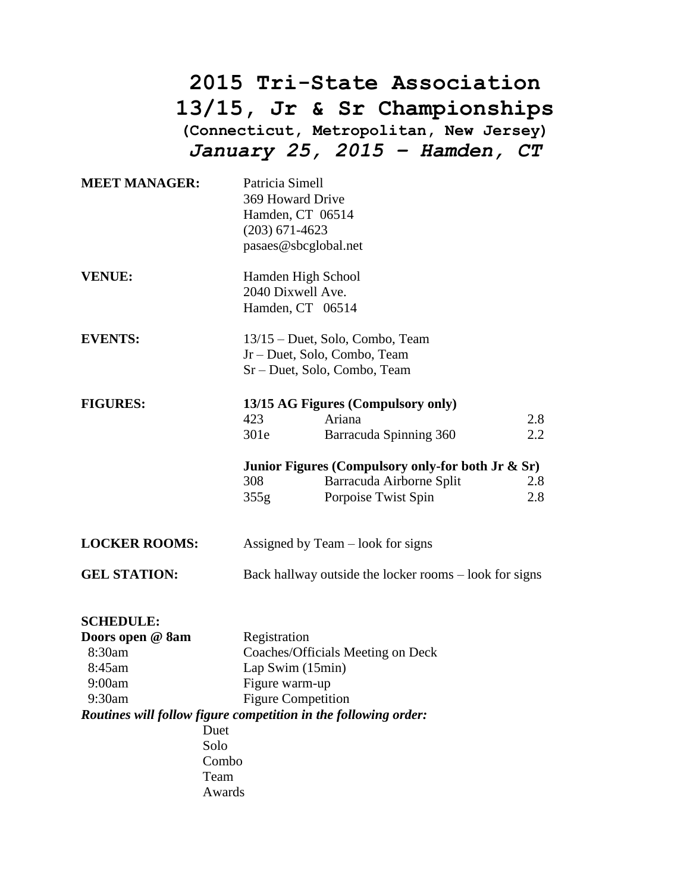## **2015 Tri-State Association 13/15, Jr & Sr Championships (Connecticut, Metropolitan, New Jersey)** *January 25, 2015 – Hamden, CT*

| <b>MEET MANAGER:</b>                                            | Patricia Simell<br>369 Howard Drive<br>$(203)$ 671-4623                                         | Hamden, CT 06514<br>pasaes@sbcglobal.net                                                                |            |  |
|-----------------------------------------------------------------|-------------------------------------------------------------------------------------------------|---------------------------------------------------------------------------------------------------------|------------|--|
| <b>VENUE:</b>                                                   | Hamden High School<br>2040 Dixwell Ave.<br>Hamden, CT 06514                                     |                                                                                                         |            |  |
| <b>EVENTS:</b>                                                  | 13/15 – Duet, Solo, Combo, Team<br>Jr – Duet, Solo, Combo, Team<br>Sr - Duet, Solo, Combo, Team |                                                                                                         |            |  |
| <b>FIGURES:</b>                                                 | 13/15 AG Figures (Compulsory only)                                                              |                                                                                                         |            |  |
|                                                                 | 423                                                                                             | Ariana                                                                                                  | 2.8        |  |
|                                                                 | 301e                                                                                            | Barracuda Spinning 360                                                                                  | 2.2        |  |
|                                                                 | 308<br>355g                                                                                     | Junior Figures (Compulsory only-for both Jr $\&$ Sr)<br>Barracuda Airborne Split<br>Porpoise Twist Spin | 2.8<br>2.8 |  |
| <b>LOCKER ROOMS:</b>                                            |                                                                                                 | Assigned by Team – look for signs                                                                       |            |  |
| <b>GEL STATION:</b>                                             |                                                                                                 | Back hallway outside the locker rooms – look for signs                                                  |            |  |
| <b>SCHEDULE:</b><br>Doors open @ 8am<br>8:30am<br>8:45am        | Registration<br>Lap Swim (15min)                                                                | Coaches/Officials Meeting on Deck                                                                       |            |  |
| 9:00am                                                          | Figure warm-up                                                                                  |                                                                                                         |            |  |
| 9:30am                                                          |                                                                                                 | <b>Figure Competition</b>                                                                               |            |  |
| Routines will follow figure competition in the following order: |                                                                                                 |                                                                                                         |            |  |
| Duet                                                            |                                                                                                 |                                                                                                         |            |  |
| Solo                                                            |                                                                                                 |                                                                                                         |            |  |
| Combo<br>Team                                                   |                                                                                                 |                                                                                                         |            |  |
|                                                                 |                                                                                                 |                                                                                                         |            |  |

Awards